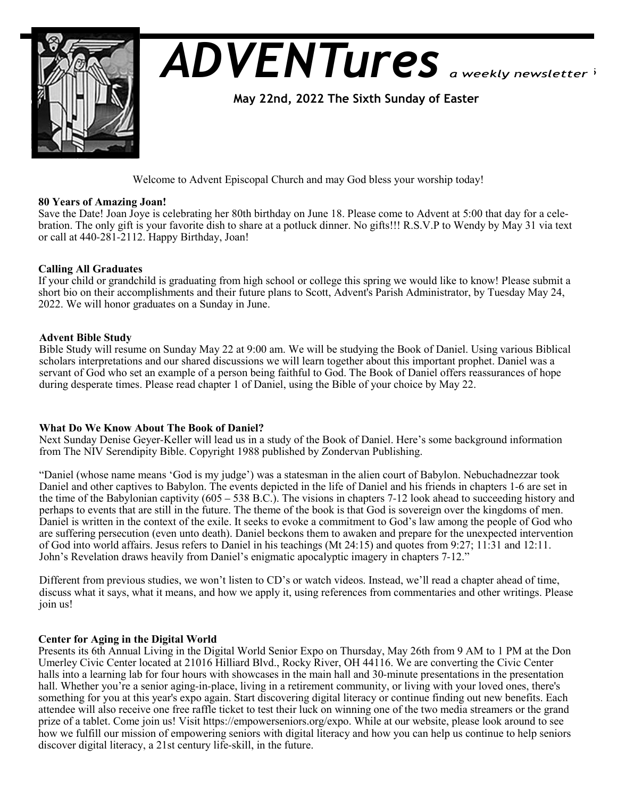

# *ADVENTures*

 **May 22nd, 2022 The Sixth Sunday of Easter** 

Welcome to Advent Episcopal Church and may God bless your worship today!

# **80 Years of Amazing Joan!**

Save the Date! Joan Joye is celebrating her 80th birthday on June 18. Please come to Advent at 5:00 that day for a celebration. The only gift is your favorite dish to share at a potluck dinner. No gifts!!! R.S.V.P to Wendy by May 31 via text or call at 440-281-2112. Happy Birthday, Joan!

# **Calling All Graduates**

If your child or grandchild is graduating from high school or college this spring we would like to know! Please submit a short bio on their accomplishments and their future plans to Scott, Advent's Parish Administrator, by Tuesday May 24, 2022. We will honor graduates on a Sunday in June.

### **Advent Bible Study**

Bible Study will resume on Sunday May 22 at 9:00 am. We will be studying the Book of Daniel. Using various Biblical scholars interpretations and our shared discussions we will learn together about this important prophet. Daniel was a servant of God who set an example of a person being faithful to God. The Book of Daniel offers reassurances of hope during desperate times. Please read chapter 1 of Daniel, using the Bible of your choice by May 22.

# **What Do We Know About The Book of Daniel?**

Next Sunday Denise Geyer-Keller will lead us in a study of the Book of Daniel. Here's some background information from The NIV Serendipity Bible. Copyright 1988 published by Zondervan Publishing.

"Daniel (whose name means 'God is my judge') was a statesman in the alien court of Babylon. Nebuchadnezzar took Daniel and other captives to Babylon. The events depicted in the life of Daniel and his friends in chapters 1-6 are set in the time of the Babylonian captivity (605 – 538 B.C.). The visions in chapters 7-12 look ahead to succeeding history and perhaps to events that are still in the future. The theme of the book is that God is sovereign over the kingdoms of men. Daniel is written in the context of the exile. It seeks to evoke a commitment to God's law among the people of God who are suffering persecution (even unto death). Daniel beckons them to awaken and prepare for the unexpected intervention of God into world affairs. Jesus refers to Daniel in his teachings (Mt 24:15) and quotes from 9:27; 11:31 and 12:11. John's Revelation draws heavily from Daniel's enigmatic apocalyptic imagery in chapters 7-12."

Different from previous studies, we won't listen to CD's or watch videos. Instead, we'll read a chapter ahead of time, discuss what it says, what it means, and how we apply it, using references from commentaries and other writings. Please join us!

# **Center for Aging in the Digital World**

Presents its 6th Annual Living in the Digital World Senior Expo on Thursday, May 26th from 9 AM to 1 PM at the Don Umerley Civic Center located at 21016 Hilliard Blvd., Rocky River, OH 44116. We are converting the Civic Center halls into a learning lab for four hours with showcases in the main hall and 30-minute presentations in the presentation hall. Whether you're a senior aging-in-place, living in a retirement community, or living with your loved ones, there's something for you at this year's expo again. Start discovering digital literacy or continue finding out new benefits. Each attendee will also receive one free raffle ticket to test their luck on winning one of the two media streamers or the grand prize of a tablet. Come join us! Visit https://empowerseniors.org/expo. While at our website, please look around to see how we fulfill our mission of empowering seniors with digital literacy and how you can help us continue to help seniors discover digital literacy, a 21st century life-skill, in the future.